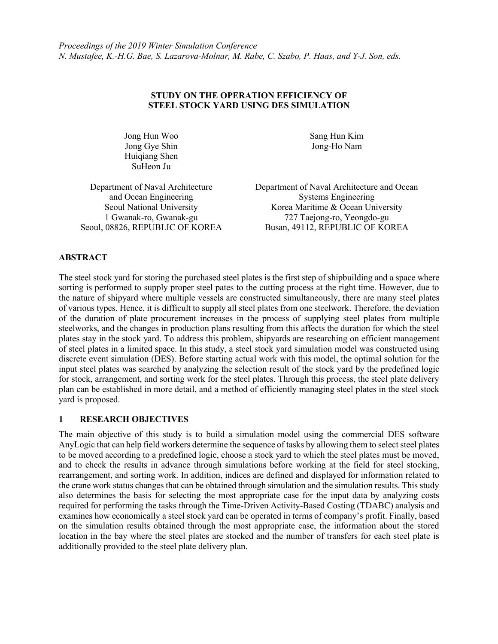## **STUDY ON THE OPERATION EFFICIENCY OF STEEL STOCK YARD USING DES SIMULATION**

Jong Hun Woo Jong Gye Shin Huiqiang Shen SuHeon Ju

Sang Hun Kim Jong-Ho Nam

Department of Naval Architecture and Ocean Engineering Seoul National University 1 Gwanak-ro, Gwanak-gu

Department of Naval Architecture and Ocean Systems Engineering Korea Maritime & Ocean University 727 Taejong-ro, Yeongdo-gu Seoul, 08826, REPUBLIC OF KOREA Busan, 49112, REPUBLIC OF KOREA

# **ABSTRACT**

The steel stock yard for storing the purchased steel plates is the first step of shipbuilding and a space where sorting is performed to supply proper steel pates to the cutting process at the right time. However, due to the nature of shipyard where multiple vessels are constructed simultaneously, there are many steel plates of various types. Hence, it is difficult to supply all steel plates from one steelwork. Therefore, the deviation of the duration of plate procurement increases in the process of supplying steel plates from multiple steelworks, and the changes in production plans resulting from this affects the duration for which the steel plates stay in the stock yard. To address this problem, shipyards are researching on efficient management of steel plates in a limited space. In this study, a steel stock yard simulation model was constructed using discrete event simulation (DES). Before starting actual work with this model, the optimal solution for the input steel plates was searched by analyzing the selection result of the stock yard by the predefined logic for stock, arrangement, and sorting work for the steel plates. Through this process, the steel plate delivery plan can be established in more detail, and a method of efficiently managing steel plates in the steel stock yard is proposed.

### **1 RESEARCH OBJECTIVES**

The main objective of this study is to build a simulation model using the commercial DES software AnyLogic that can help field workers determine the sequence of tasks by allowing them to select steel plates to be moved according to a predefined logic, choose a stock yard to which the steel plates must be moved, and to check the results in advance through simulations before working at the field for steel stocking, rearrangement, and sorting work. In addition, indices are defined and displayed for information related to the crane work status changes that can be obtained through simulation and the simulation results. This study also determines the basis for selecting the most appropriate case for the input data by analyzing costs required for performing the tasks through the Time-Driven Activity-Based Costing (TDABC) analysis and examines how economically a steel stock yard can be operated in terms of company's profit. Finally, based on the simulation results obtained through the most appropriate case, the information about the stored location in the bay where the steel plates are stocked and the number of transfers for each steel plate is additionally provided to the steel plate delivery plan.